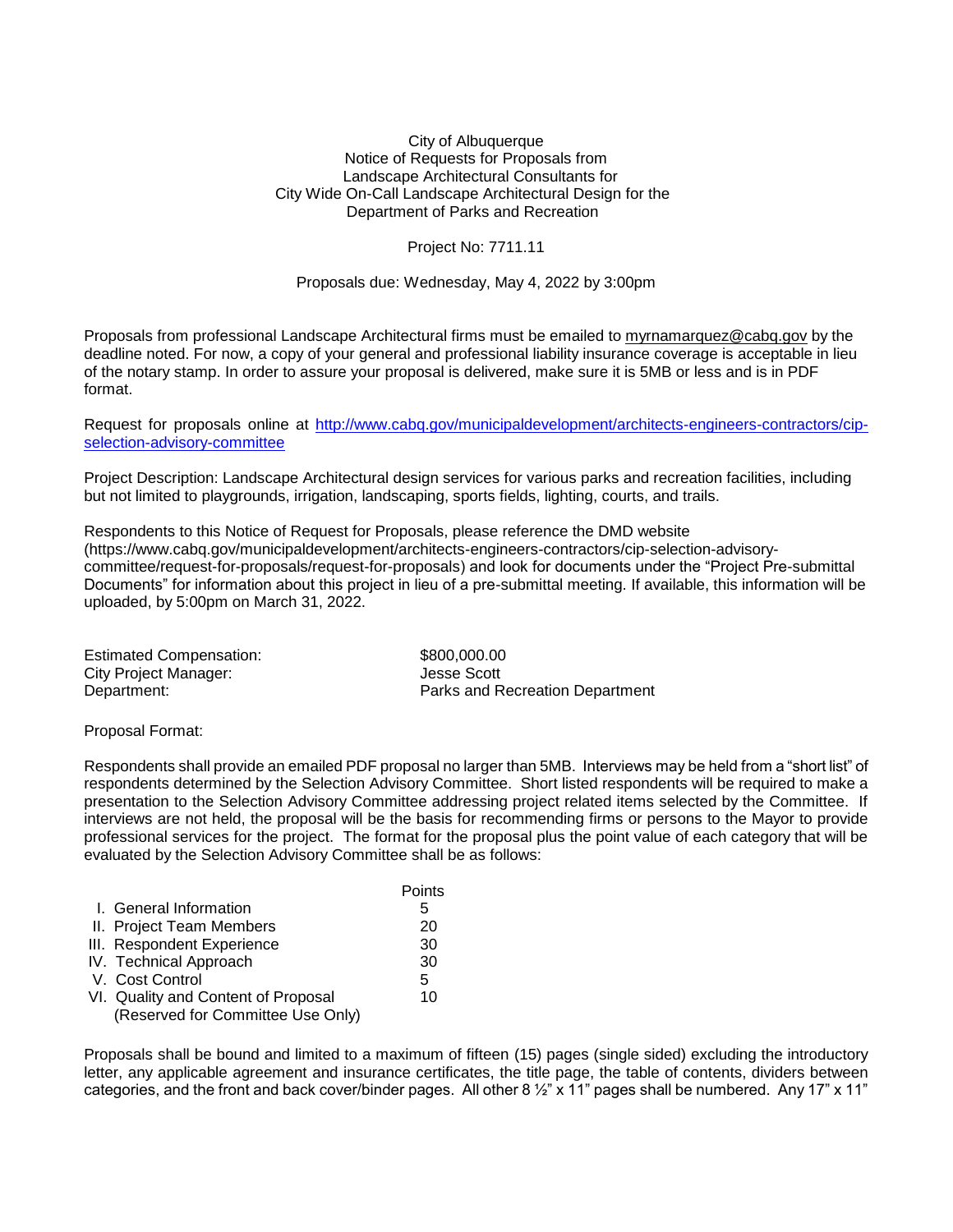## City of Albuquerque Notice of Requests for Proposals from Landscape Architectural Consultants for City Wide On-Call Landscape Architectural Design for the Department of Parks and Recreation

Project No: 7711.11

Proposals due: Wednesday, May 4, 2022 by 3:00pm

Proposals from professional Landscape Architectural firms must be emailed to [myrnamarquez@cabq.gov](mailto:myrnamarquez@cabq.gov) by the deadline noted. For now, a copy of your general and professional liability insurance coverage is acceptable in lieu of the notary stamp. In order to assure your proposal is delivered, make sure it is 5MB or less and is in PDF format.

Request for proposals online at [http://www.cabq.gov/municipaldevelopment/architects-engineers-contractors/cip](http://www.cabq.gov/municipaldevelopment/architects-engineers-contractors/cip-selection-advisory-committee)[selection-advisory-committee](http://www.cabq.gov/municipaldevelopment/architects-engineers-contractors/cip-selection-advisory-committee)

Project Description: Landscape Architectural design services for various parks and recreation facilities, including but not limited to playgrounds, irrigation, landscaping, sports fields, lighting, courts, and trails.

Respondents to this Notice of Request for Proposals, please reference the DMD website [\(https://www.cabq.gov/municipaldevelopment/architects-engineers-contractors/cip-selection-advisory](https://www.cabq.gov/municipaldevelopment/architects-engineers-contractors/cip-selection-advisory-committee/request-for-proposals/request-for-proposals)[committee/request-for-proposals/request-for-proposals\)](https://www.cabq.gov/municipaldevelopment/architects-engineers-contractors/cip-selection-advisory-committee/request-for-proposals/request-for-proposals) and look for documents under the "Project Pre-submittal Documents" for information about this project in lieu of a pre-submittal meeting. If available, this information will be uploaded, by 5:00pm on March 31, 2022.

| <b>Estimated Compensation:</b> | \$800,000.00                    |
|--------------------------------|---------------------------------|
| City Project Manager:          | Jesse Scott                     |
| Department:                    | Parks and Recreation Department |

Proposal Format:

Respondents shall provide an emailed PDF proposal no larger than 5MB. Interviews may be held from a "short list" of respondents determined by the Selection Advisory Committee. Short listed respondents will be required to make a presentation to the Selection Advisory Committee addressing project related items selected by the Committee. If interviews are not held, the proposal will be the basis for recommending firms or persons to the Mayor to provide professional services for the project. The format for the proposal plus the point value of each category that will be evaluated by the Selection Advisory Committee shall be as follows:

|                                     | Points |
|-------------------------------------|--------|
| I. General Information              | 5      |
| II. Project Team Members            | 20     |
| III. Respondent Experience          | 30     |
| IV. Technical Approach              | 30     |
| V. Cost Control                     | 5      |
| VI. Quality and Content of Proposal | 10     |
| (Reserved for Committee Use Only)   |        |

Proposals shall be bound and limited to a maximum of fifteen (15) pages (single sided) excluding the introductory letter, any applicable agreement and insurance certificates, the title page, the table of contents, dividers between categories, and the front and back cover/binder pages. All other  $8\frac{1}{2}$ " x 11" pages shall be numbered. Any 17" x 11"